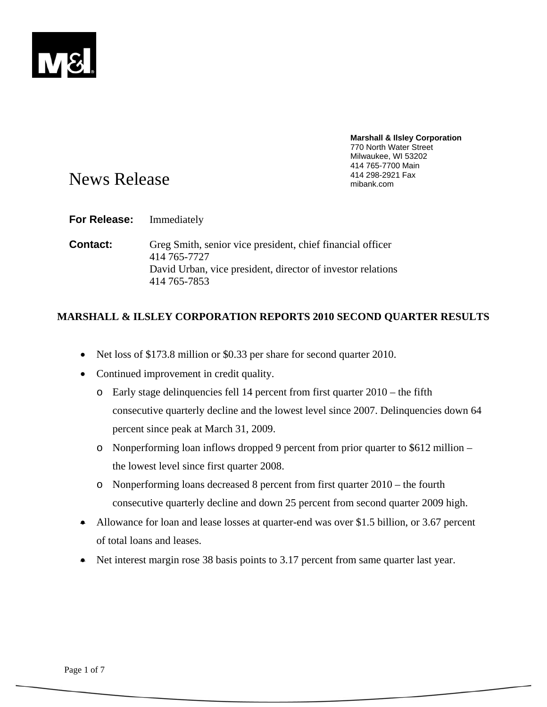

# **Marshall & Ilsley Corporation**  770 North Water Street Milwaukee, WI 53202 414 765-7700 Main

# News Release and the state of the state of the Means And 298-2921 Fax mibank.com

**For Release:** Immediately

**Contact:** Greg Smith, senior vice president, chief financial officer 414 765-7727 David Urban, vice president, director of investor relations 414 765-7853

# **MARSHALL & ILSLEY CORPORATION REPORTS 2010 SECOND QUARTER RESULTS**

- Net loss of \$173.8 million or \$0.33 per share for second quarter 2010.
- Continued improvement in credit quality.
	- o Early stage delinquencies fell 14 percent from first quarter 2010 the fifth consecutive quarterly decline and the lowest level since 2007. Delinquencies down 64 percent since peak at March 31, 2009.
	- o Nonperforming loan inflows dropped 9 percent from prior quarter to \$612 million the lowest level since first quarter 2008.
	- o Nonperforming loans decreased 8 percent from first quarter 2010 the fourth consecutive quarterly decline and down 25 percent from second quarter 2009 high.
- Allowance for loan and lease losses at quarter-end was over \$1.5 billion, or 3.67 percent of total loans and leases.
- Net interest margin rose 38 basis points to 3.17 percent from same quarter last year.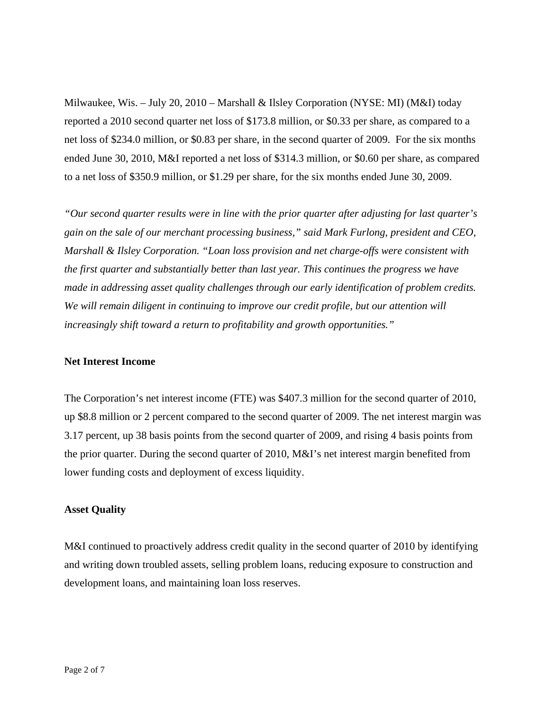Milwaukee, Wis. – July 20, 2010 – Marshall & Ilsley Corporation (NYSE: MI) (M&I) today reported a 2010 second quarter net loss of \$173.8 million, or \$0.33 per share, as compared to a net loss of \$234.0 million, or \$0.83 per share, in the second quarter of 2009. For the six months ended June 30, 2010, M&I reported a net loss of \$314.3 million, or \$0.60 per share, as compared to a net loss of \$350.9 million, or \$1.29 per share, for the six months ended June 30, 2009.

*"Our second quarter results were in line with the prior quarter after adjusting for last quarter's gain on the sale of our merchant processing business," said Mark Furlong, president and CEO, Marshall & Ilsley Corporation. "Loan loss provision and net charge-offs were consistent with the first quarter and substantially better than last year. This continues the progress we have made in addressing asset quality challenges through our early identification of problem credits. We will remain diligent in continuing to improve our credit profile, but our attention will increasingly shift toward a return to profitability and growth opportunities."* 

## **Net Interest Income**

The Corporation's net interest income (FTE) was \$407.3 million for the second quarter of 2010, up \$8.8 million or 2 percent compared to the second quarter of 2009. The net interest margin was 3.17 percent, up 38 basis points from the second quarter of 2009, and rising 4 basis points from the prior quarter. During the second quarter of 2010, M&I's net interest margin benefited from lower funding costs and deployment of excess liquidity.

## **Asset Quality**

M&I continued to proactively address credit quality in the second quarter of 2010 by identifying and writing down troubled assets, selling problem loans, reducing exposure to construction and development loans, and maintaining loan loss reserves.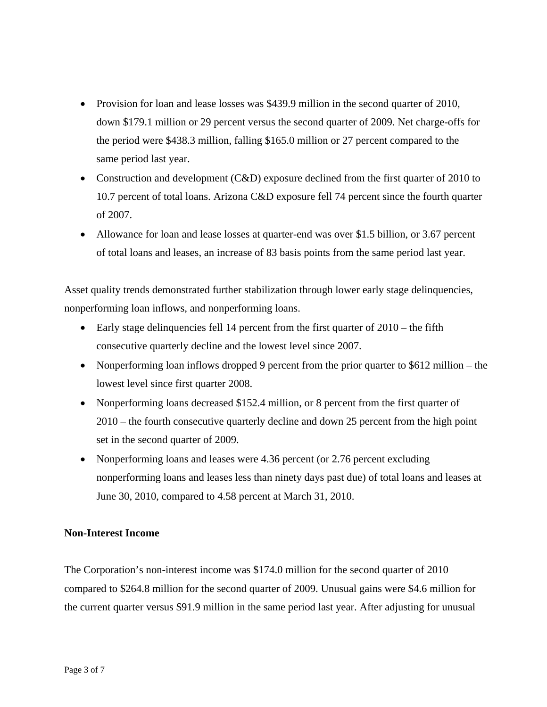- Provision for loan and lease losses was \$439.9 million in the second quarter of 2010, down \$179.1 million or 29 percent versus the second quarter of 2009. Net charge-offs for the period were \$438.3 million, falling \$165.0 million or 27 percent compared to the same period last year.
- Construction and development (C&D) exposure declined from the first quarter of 2010 to 10.7 percent of total loans. Arizona C&D exposure fell 74 percent since the fourth quarter of 2007.
- Allowance for loan and lease losses at quarter-end was over \$1.5 billion, or 3.67 percent of total loans and leases, an increase of 83 basis points from the same period last year.

Asset quality trends demonstrated further stabilization through lower early stage delinquencies, nonperforming loan inflows, and nonperforming loans.

- Early stage delinquencies fell 14 percent from the first quarter of 2010 the fifth consecutive quarterly decline and the lowest level since 2007.
- Nonperforming loan inflows dropped 9 percent from the prior quarter to \$612 million the lowest level since first quarter 2008.
- Nonperforming loans decreased \$152.4 million, or 8 percent from the first quarter of 2010 – the fourth consecutive quarterly decline and down 25 percent from the high point set in the second quarter of 2009.
- Nonperforming loans and leases were 4.36 percent (or 2.76 percent excluding nonperforming loans and leases less than ninety days past due) of total loans and leases at June 30, 2010, compared to 4.58 percent at March 31, 2010.

## **Non-Interest Income**

The Corporation's non-interest income was \$174.0 million for the second quarter of 2010 compared to \$264.8 million for the second quarter of 2009. Unusual gains were \$4.6 million for the current quarter versus \$91.9 million in the same period last year. After adjusting for unusual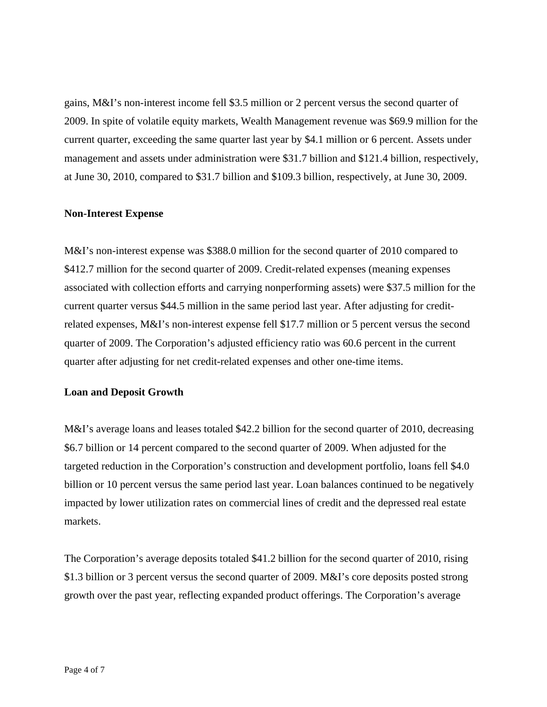gains, M&I's non-interest income fell \$3.5 million or 2 percent versus the second quarter of 2009. In spite of volatile equity markets, Wealth Management revenue was \$69.9 million for the current quarter, exceeding the same quarter last year by \$4.1 million or 6 percent. Assets under management and assets under administration were \$31.7 billion and \$121.4 billion, respectively, at June 30, 2010, compared to \$31.7 billion and \$109.3 billion, respectively, at June 30, 2009.

## **Non-Interest Expense**

M&I's non-interest expense was \$388.0 million for the second quarter of 2010 compared to \$412.7 million for the second quarter of 2009. Credit-related expenses (meaning expenses associated with collection efforts and carrying nonperforming assets) were \$37.5 million for the current quarter versus \$44.5 million in the same period last year. After adjusting for creditrelated expenses, M&I's non-interest expense fell \$17.7 million or 5 percent versus the second quarter of 2009. The Corporation's adjusted efficiency ratio was 60.6 percent in the current quarter after adjusting for net credit-related expenses and other one-time items.

## **Loan and Deposit Growth**

M&I's average loans and leases totaled \$42.2 billion for the second quarter of 2010, decreasing \$6.7 billion or 14 percent compared to the second quarter of 2009. When adjusted for the targeted reduction in the Corporation's construction and development portfolio, loans fell \$4.0 billion or 10 percent versus the same period last year. Loan balances continued to be negatively impacted by lower utilization rates on commercial lines of credit and the depressed real estate markets.

The Corporation's average deposits totaled \$41.2 billion for the second quarter of 2010, rising \$1.3 billion or 3 percent versus the second quarter of 2009. M&I's core deposits posted strong growth over the past year, reflecting expanded product offerings. The Corporation's average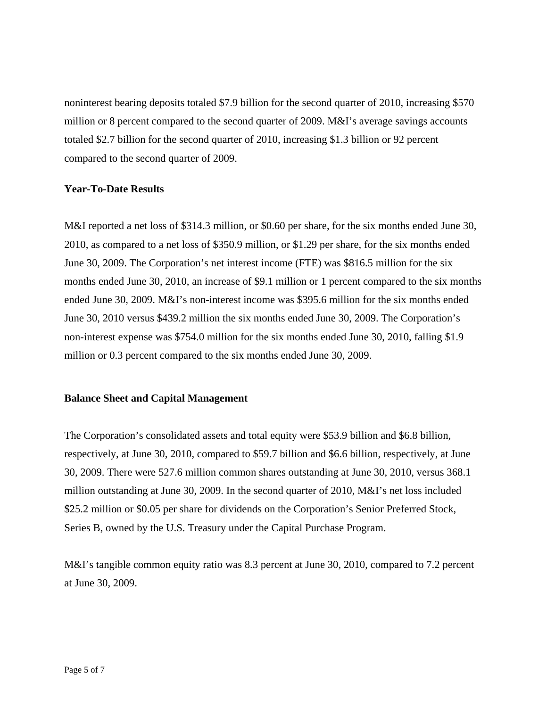noninterest bearing deposits totaled \$7.9 billion for the second quarter of 2010, increasing \$570 million or 8 percent compared to the second quarter of 2009. M&I's average savings accounts totaled \$2.7 billion for the second quarter of 2010, increasing \$1.3 billion or 92 percent compared to the second quarter of 2009.

## **Year-To-Date Results**

M&I reported a net loss of \$314.3 million, or \$0.60 per share, for the six months ended June 30, 2010, as compared to a net loss of \$350.9 million, or \$1.29 per share, for the six months ended June 30, 2009. The Corporation's net interest income (FTE) was \$816.5 million for the six months ended June 30, 2010, an increase of \$9.1 million or 1 percent compared to the six months ended June 30, 2009. M&I's non-interest income was \$395.6 million for the six months ended June 30, 2010 versus \$439.2 million the six months ended June 30, 2009. The Corporation's non-interest expense was \$754.0 million for the six months ended June 30, 2010, falling \$1.9 million or 0.3 percent compared to the six months ended June 30, 2009.

## **Balance Sheet and Capital Management**

The Corporation's consolidated assets and total equity were \$53.9 billion and \$6.8 billion, respectively, at June 30, 2010, compared to \$59.7 billion and \$6.6 billion, respectively, at June 30, 2009. There were 527.6 million common shares outstanding at June 30, 2010, versus 368.1 million outstanding at June 30, 2009. In the second quarter of 2010, M&I's net loss included \$25.2 million or \$0.05 per share for dividends on the Corporation's Senior Preferred Stock, Series B, owned by the U.S. Treasury under the Capital Purchase Program.

M&I's tangible common equity ratio was 8.3 percent at June 30, 2010, compared to 7.2 percent at June 30, 2009.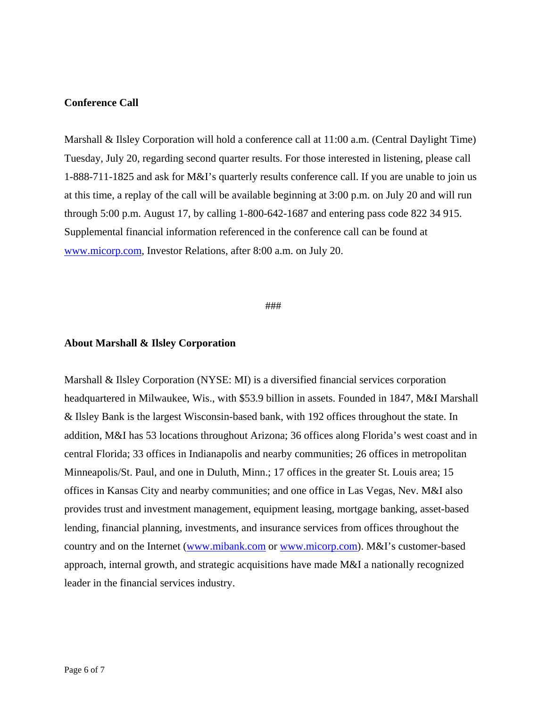## **Conference Call**

Marshall & Ilsley Corporation will hold a conference call at 11:00 a.m. (Central Daylight Time) Tuesday, July 20, regarding second quarter results. For those interested in listening, please call 1-888-711-1825 and ask for M&I's quarterly results conference call. If you are unable to join us at this time, a replay of the call will be available beginning at 3:00 p.m. on July 20 and will run through 5:00 p.m. August 17, by calling 1-800-642-1687 and entering pass code 822 34 915. Supplemental financial information referenced in the conference call can be found at www.micorp.com, Investor Relations, after 8:00 a.m. on July 20.

#### ###

#### **About Marshall & Ilsley Corporation**

Marshall & Ilsley Corporation (NYSE: MI) is a diversified financial services corporation headquartered in Milwaukee, Wis., with \$53.9 billion in assets. Founded in 1847, M&I Marshall & Ilsley Bank is the largest Wisconsin-based bank, with 192 offices throughout the state. In addition, M&I has 53 locations throughout Arizona; 36 offices along Florida's west coast and in central Florida; 33 offices in Indianapolis and nearby communities; 26 offices in metropolitan Minneapolis/St. Paul, and one in Duluth, Minn.; 17 offices in the greater St. Louis area; 15 offices in Kansas City and nearby communities; and one office in Las Vegas, Nev. M&I also provides trust and investment management, equipment leasing, mortgage banking, asset-based lending, financial planning, investments, and insurance services from offices throughout the country and on the Internet (www.mibank.com or www.micorp.com). M&I's customer-based approach, internal growth, and strategic acquisitions have made M&I a nationally recognized leader in the financial services industry.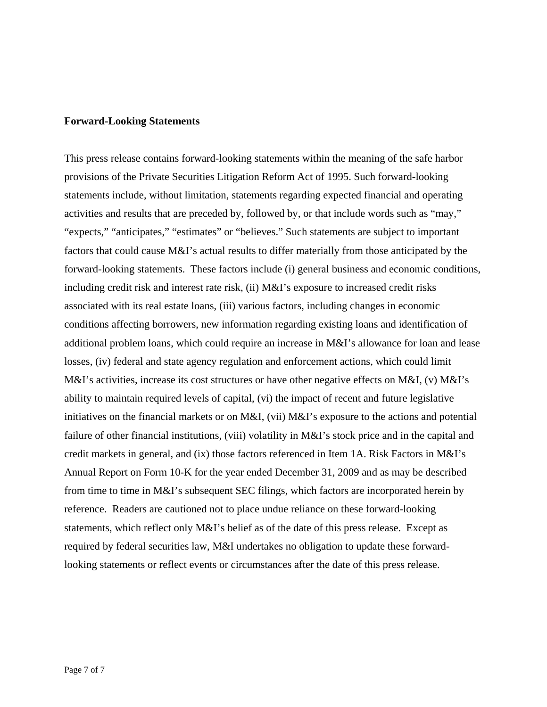#### **Forward-Looking Statements**

This press release contains forward-looking statements within the meaning of the safe harbor provisions of the Private Securities Litigation Reform Act of 1995. Such forward-looking statements include, without limitation, statements regarding expected financial and operating activities and results that are preceded by, followed by, or that include words such as "may," "expects," "anticipates," "estimates" or "believes." Such statements are subject to important factors that could cause M&I's actual results to differ materially from those anticipated by the forward-looking statements. These factors include (i) general business and economic conditions, including credit risk and interest rate risk, (ii) M&I's exposure to increased credit risks associated with its real estate loans, (iii) various factors, including changes in economic conditions affecting borrowers, new information regarding existing loans and identification of additional problem loans, which could require an increase in M&I's allowance for loan and lease losses, (iv) federal and state agency regulation and enforcement actions, which could limit M&I's activities, increase its cost structures or have other negative effects on M&I, (v) M&I's ability to maintain required levels of capital, (vi) the impact of recent and future legislative initiatives on the financial markets or on M&I, (vii) M&I's exposure to the actions and potential failure of other financial institutions, (viii) volatility in M&I's stock price and in the capital and credit markets in general, and (ix) those factors referenced in Item 1A. Risk Factors in M&I's Annual Report on Form 10-K for the year ended December 31, 2009 and as may be described from time to time in M&I's subsequent SEC filings, which factors are incorporated herein by reference. Readers are cautioned not to place undue reliance on these forward-looking statements, which reflect only M&I's belief as of the date of this press release. Except as required by federal securities law, M&I undertakes no obligation to update these forwardlooking statements or reflect events or circumstances after the date of this press release.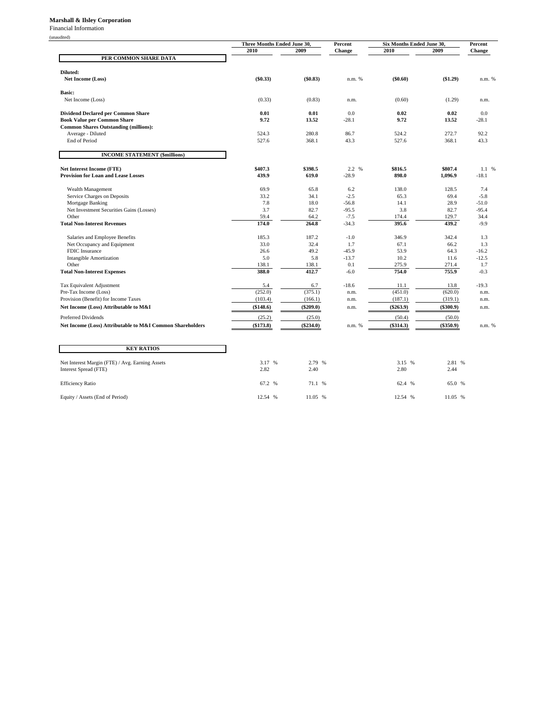#### **Marshall & Ilsley Corporation**

Financial Information

| шванс |  |
|-------|--|
|       |  |

| 2009<br>2010<br>2010<br>2009<br><b>Change</b><br><b>Change</b><br>PER COMMON SHARE DATA<br>Diluted:<br>$(\$0.33)$<br>(\$0.83)<br>$(\$0.60)$<br>(\$1.29)<br><b>Net Income (Loss)</b><br>n.m. %<br>n.m. % |  |
|---------------------------------------------------------------------------------------------------------------------------------------------------------------------------------------------------------|--|
|                                                                                                                                                                                                         |  |
|                                                                                                                                                                                                         |  |
|                                                                                                                                                                                                         |  |
|                                                                                                                                                                                                         |  |
|                                                                                                                                                                                                         |  |
| <b>Basic:</b>                                                                                                                                                                                           |  |
| Net Income (Loss)<br>(0.33)<br>(0.83)<br>(0.60)<br>(1.29)<br>n.m.<br>n.m.                                                                                                                               |  |
|                                                                                                                                                                                                         |  |
| <b>Dividend Declared per Common Share</b><br>0.01<br>0.01<br>0.0<br>0.02<br>0.02<br>0.0                                                                                                                 |  |
| <b>Book Value per Common Share</b><br>9.72<br>13.52<br>$-28.1$<br>9.72<br>13.52<br>$-28.1$                                                                                                              |  |
| <b>Common Shares Outstanding (millions):</b>                                                                                                                                                            |  |
| 524.3<br>280.8<br>86.7<br>524.2<br>272.7<br>92.2<br>Average - Diluted                                                                                                                                   |  |
| End of Period<br>527.6<br>368.1<br>43.3<br>527.6<br>368.1<br>43.3                                                                                                                                       |  |
|                                                                                                                                                                                                         |  |
| <b>INCOME STATEMENT (\$millions)</b>                                                                                                                                                                    |  |
| <b>Net Interest Income (FTE)</b><br>\$407.3<br>\$398.5<br>2.2 %<br>\$816.5<br>\$807.4<br>1.1 %                                                                                                          |  |
| <b>Provision for Loan and Lease Losses</b><br>439.9<br>619.0<br>$-28.9$<br>898.0<br>1,096.9<br>$-18.1$                                                                                                  |  |
|                                                                                                                                                                                                         |  |
| Wealth Management<br>69.9<br>65.8<br>6.2<br>138.0<br>128.5<br>7.4                                                                                                                                       |  |
| $-2.5$<br>Service Charges on Deposits<br>33.2<br>34.1<br>65.3<br>69.4<br>$-5.8$                                                                                                                         |  |
| 7.8<br>18.0<br>$-56.8$<br>14.1<br>28.9<br>$-51.0$<br>Mortgage Banking                                                                                                                                   |  |
| Net Investment Securities Gains (Losses)<br>3.7<br>82.7<br>$-95.5$<br>3.8<br>82.7<br>$-95.4$                                                                                                            |  |
| Other<br>59.4<br>64.2<br>$-7.5$<br>174.4<br>129.7<br>34.4                                                                                                                                               |  |
| 174.0<br>264.8<br>395.6<br>439.2<br><b>Total Non-Interest Revenues</b><br>$-34.3$<br>$-9.9$                                                                                                             |  |
| 185.3<br>187.2<br>$-1.0$<br>346.9<br>342.4<br>Salaries and Employee Benefits<br>1.3                                                                                                                     |  |
| 33.0<br>32.4<br>1.7<br>67.1<br>1.3<br>Net Occupancy and Equipment<br>66.2                                                                                                                               |  |
| 49.2<br>$-45.9$<br>53.9<br>64.3<br>FDIC Insurance<br>26.6<br>$-16.2$                                                                                                                                    |  |
| 10.2<br><b>Intangible Amortization</b><br>5.0<br>5.8<br>$-13.7$<br>11.6<br>$-12.5$                                                                                                                      |  |
| Other<br>138.1<br>0.1<br>275.9<br>271.4<br>1.7<br>138.1                                                                                                                                                 |  |
| 412.7<br>754.0<br>388.0<br>755.9<br>$-6.0$<br>$-0.3$<br><b>Total Non-Interest Expenses</b>                                                                                                              |  |
| 5.4<br>$-19.3$<br>Tax Equivalent Adjustment<br>6.7<br>$-18.6$<br>11.1<br>13.8                                                                                                                           |  |
| (252.0)<br>(375.1)<br>(451.0)<br>(620.0)<br>Pre-Tax Income (Loss)<br>n.m.<br>n.m.                                                                                                                       |  |
| Provision (Benefit) for Income Taxes<br>(103.4)<br>(187.1)<br>(319.1)<br>(166.1)<br>n.m.<br>n.m.                                                                                                        |  |
| Net Income (Loss) Attributable to M&I<br>$(\$263.9)$<br>$(\$300.9)$<br>(\$148.6)<br>$(\$209.0)$<br>n.m.<br>n.m.                                                                                         |  |
| Preferred Dividends<br>(25.2)<br>(25.0)<br>(50.4)<br>(50.0)                                                                                                                                             |  |
|                                                                                                                                                                                                         |  |
| (\$173.8)<br>$(\$314.3)$<br>Net Income (Loss) Attributable to M&I Common Shareholders<br>$(\$234.0)$<br>$(\$350.9)$<br>n.m. %<br>n.m. %                                                                 |  |
|                                                                                                                                                                                                         |  |
| <b>KEY RATIOS</b>                                                                                                                                                                                       |  |
|                                                                                                                                                                                                         |  |
| 3.17 %<br>2.79 %<br>Net Interest Margin (FTE) / Avg. Earning Assets<br>3.15 %<br>2.81 %                                                                                                                 |  |
| 2.82<br>Interest Spread (FTE)<br>2.40<br>2.80<br>2.44                                                                                                                                                   |  |
| 67.2 %<br>65.0 %<br><b>Efficiency Ratio</b><br>71.1 %<br>62.4 %                                                                                                                                         |  |

Equity / Assets (End of Period) 12.54 % 11.05 % 12.54 % 12.54 % 11.05 % 12.54 % 11.05 %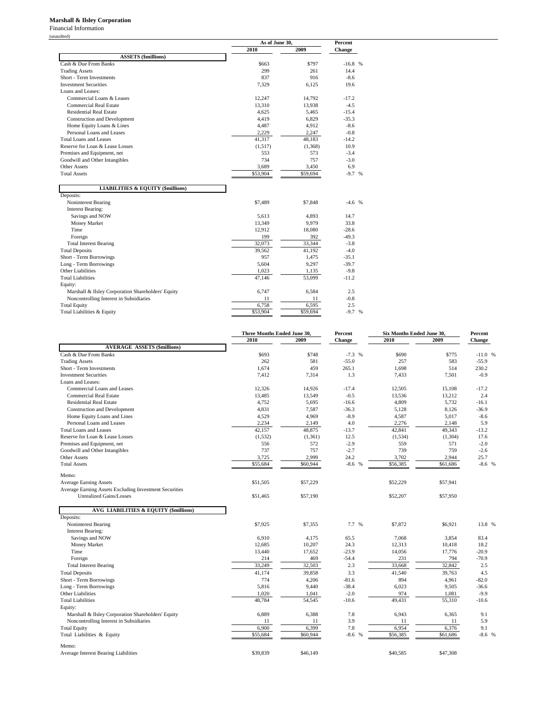#### **Marshall & Ilsley Corporation**

Financial Information (unaudited)

|                                                    |          | As of June 30, |           |  |
|----------------------------------------------------|----------|----------------|-----------|--|
|                                                    | 2010     | 2009           | Change    |  |
| <b>ASSETS</b> (\$millions)                         |          |                |           |  |
| Cash & Due From Banks                              | \$663    | \$797          | $-16.8$ % |  |
| <b>Trading Assets</b>                              | 299      | 261            | 14.4      |  |
| Short - Term Investments                           | 837      | 916            | $-8.6$    |  |
| <b>Investment Securities</b>                       | 7,329    | 6.125          | 19.6      |  |
| Loans and Leases:                                  |          |                |           |  |
| Commercial Loans & Leases                          | 12,247   | 14,792         | $-17.2$   |  |
| <b>Commercial Real Estate</b>                      | 13,310   | 13,938         | $-4.5$    |  |
| <b>Residential Real Estate</b>                     | 4,625    | 5,465          | $-15.4$   |  |
| <b>Construction and Development</b>                | 4,419    | 6,829          | $-35.3$   |  |
| Home Equity Loans & Lines                          | 4,487    | 4,912          | $-8.6$    |  |
| Personal Loans and Leases                          | 2,229    | 2,247          | $-0.8$    |  |
| Total Loans and Leases                             | 41,317   | 48,183         | $-14.2$   |  |
| Reserve for Loan & Lease Losses                    | (1,517)  | (1,368)        | 10.9      |  |
| Premises and Equipment, net                        | 553      | 573            | $-3.4$    |  |
| Goodwill and Other Intangibles                     | 734      | 757            | $-3.0$    |  |
| Other Assets                                       | 3,689    | 3,450          | 6.9       |  |
| <b>Total Assets</b>                                | \$53,904 | \$59,694       | $-9.7%$   |  |
| <b>LIABILITIES &amp; EQUITY (\$millions)</b>       |          |                |           |  |
| Deposits:                                          |          |                |           |  |
| Noninterest Bearing                                | \$7,489  | \$7,848        | $-4.6$ %  |  |
| <b>Interest Bearing:</b>                           |          |                |           |  |
| Savings and NOW                                    | 5,613    | 4,893          | 14.7      |  |
| Money Market                                       | 13,349   | 9,979          | 33.8      |  |
| Time                                               | 12,912   | 18,080         | $-28.6$   |  |
| Foreign                                            | 199      | 392            | $-49.3$   |  |
| <b>Total Interest Bearing</b>                      | 32,073   | 33,344         | $-3.8$    |  |
| <b>Total Deposits</b>                              | 39,562   | 41,192         | $-4.0$    |  |
| Short - Term Borrowings                            | 957      | 1,475          | $-35.1$   |  |
| Long - Term Borrowings                             | 5.604    | 9.297          | $-39.7$   |  |
| Other Liabilities                                  | 1,023    | 1,135          | $-9.8$    |  |
| <b>Total Liabilities</b>                           | 47,146   | 53,099         | $-11.2$   |  |
| Equity:                                            |          |                |           |  |
| Marshall & Ilsley Corporation Shareholders' Equity | 6,747    | 6,584          | 2.5       |  |
| Noncontrolling Interest in Subsidiaries            | 11       | 11             | $-0.8$    |  |
| <b>Total Equity</b>                                | 6,758    | 6,595          | 2.5       |  |
| Total Liabilities & Equity                         | \$53,904 | \$59,694       | $-9.7%$   |  |

|                                                        | Three Months Ended June 30, |             | Percent  | Six Months Ended June 30, |             | Percent  |
|--------------------------------------------------------|-----------------------------|-------------|----------|---------------------------|-------------|----------|
|                                                        | 2010                        | 2009        | Change   | 2010                      | 2009        | Change   |
| <b>AVERAGE ASSETS (\$millions)</b>                     |                             |             |          |                           |             |          |
| Cash & Due From Banks                                  | \$693                       | \$748       | $-7.3$ % | \$690                     | \$775       | $-11.0%$ |
| <b>Trading Assets</b>                                  | 262                         | 581         | $-55.0$  | 257                       | 583         | $-55.9$  |
| Short - Term Investments                               | 1,674                       | 459         | 265.1    | 1,698                     | 514         | 230.2    |
| <b>Investment Securities</b>                           | 7,412                       | 7,314       | 1.3      | 7,433                     | 7,501       | $-0.9$   |
| Loans and Leases:                                      |                             |             |          |                           |             |          |
| Commercial Loans and Leases                            | 12,326                      | 14,926      | $-17.4$  | 12,505                    | 15,108      | $-17.2$  |
| <b>Commercial Real Estate</b>                          | 13,485                      | 13,549      | $-0.5$   | 13,536                    | 13,212      | 2.4      |
| <b>Residential Real Estate</b>                         | 4,752                       | 5,695       | $-16.6$  | 4,809                     | 5,732       | $-16.1$  |
| Construction and Development                           | 4,831                       | 7,587       | $-36.3$  | 5,128                     | 8,126       | $-36.9$  |
| Home Equity Loans and Lines                            | 4,529                       | 4,969       | $-8.9$   | 4,587                     | 5,017       | $-8.6$   |
| Personal Loans and Leases                              | 2,234                       | 2,149       | 4.0      | 2,276                     | 2,148       | 5.9      |
| <b>Total Loans and Leases</b>                          | 42,157                      | 48,875      | $-13.7$  | 42,841                    | 49,343      | $-13.2$  |
| Reserve for Loan & Lease Losses                        | (1, 532)                    | (1,361)     | 12.5     | (1, 534)                  | (1, 304)    | 17.6     |
| Premises and Equipment, net                            | 556                         | 572         | $-2.9$   | 559                       | 571         | $-2.0$   |
| Goodwill and Other Intangibles                         | 737                         | 757         | $-2.7$   | 739                       | 759         | $-2.6$   |
| Other Assets                                           | 3,725                       | 2,999       | 24.2     | 3,702                     | 2,944       | 25.7     |
| <b>Total Assets</b>                                    | \$55,684                    | \$60,944    | $-8.6$ % | \$56,385                  | \$61,686    | $-8.6$ % |
| Memo:                                                  |                             |             |          |                           |             |          |
| <b>Average Earning Assets</b>                          | \$51,505                    | \$57,229    |          | \$52,229                  | \$57,941    |          |
| Average Earning Assets Excluding Investment Securities |                             |             |          |                           |             |          |
| <b>Unrealized Gains/Losses</b>                         | \$51,465                    | \$57,190    |          | \$52,207                  | \$57,950    |          |
| AVG LIABILITIES & EQUITY (\$millions)                  |                             |             |          |                           |             |          |
| Deposits:                                              |                             |             |          |                           |             |          |
| Noninterest Bearing                                    | \$7,925                     | \$7,355     | 7.7 %    | \$7,872                   | \$6,921     | 13.8 %   |
| <b>Interest Bearing:</b>                               |                             |             |          |                           |             |          |
| Savings and NOW                                        | 6,910                       | 4,175       | 65.5     | 7,068                     | 3,854       | 83.4     |
| Money Market                                           | 12,685                      | 10,207      | 24.3     | 12,313                    | 10,418      | 18.2     |
| Time                                                   | 13,440                      | 17,652      | $-23.9$  | 14,056                    | 17,776      | $-20.9$  |
| Foreign                                                | 214                         | 469         | $-54.4$  | 231                       | 794         | $-70.9$  |
| <b>Total Interest Bearing</b>                          | 33.249                      | 32,503      | 2.3      | 33,668                    | 32,842      | 2.5      |
| <b>Total Deposits</b>                                  | 41,174                      | 39,858      | 3.3      | 41,540                    | 39,763      | 4.5      |
| Short - Term Borrowings                                | 774                         | 4,206       | $-81.6$  | 894                       | 4,961       | $-82.0$  |
| Long - Term Borrowings                                 | 5,816                       | 9,440       | $-38.4$  | 6,023                     | 9,505       | $-36.6$  |
| Other Liabilities                                      | 1,020                       | 1,041       | $-2.0$   | 974                       | 1,081       | $-9.9$   |
| <b>Total Liabilities</b>                               | 48,784                      | 54,545      | $-10.6$  | 49,431                    | 55,310      | $-10.6$  |
| Equity:                                                |                             |             |          |                           |             |          |
| Marshall & Ilsley Corporation Shareholders' Equity     | 6,889                       | 6,388       | 7.8      | 6,943                     | 6,365       | 9.1      |
|                                                        |                             |             | 3.9      |                           |             | 5.9      |
| Noncontrolling Interest in Subsidiaries                | 11<br>6,900                 | 11<br>6,399 | 7.8      | 11<br>6,954               | 11<br>6,376 | 9.1      |
| <b>Total Equity</b>                                    | \$55,684                    | \$60,944    | $-8.6$ % | \$56,385                  | \$61,686    | $-8.6$ % |
| Total Liabilities & Equity                             |                             |             |          |                           |             |          |
| Memo:<br><b>Average Interest Bearing Liabilities</b>   | \$39,839                    | \$46,149    |          | \$40,585                  | \$47,308    |          |
|                                                        |                             |             |          |                           |             |          |